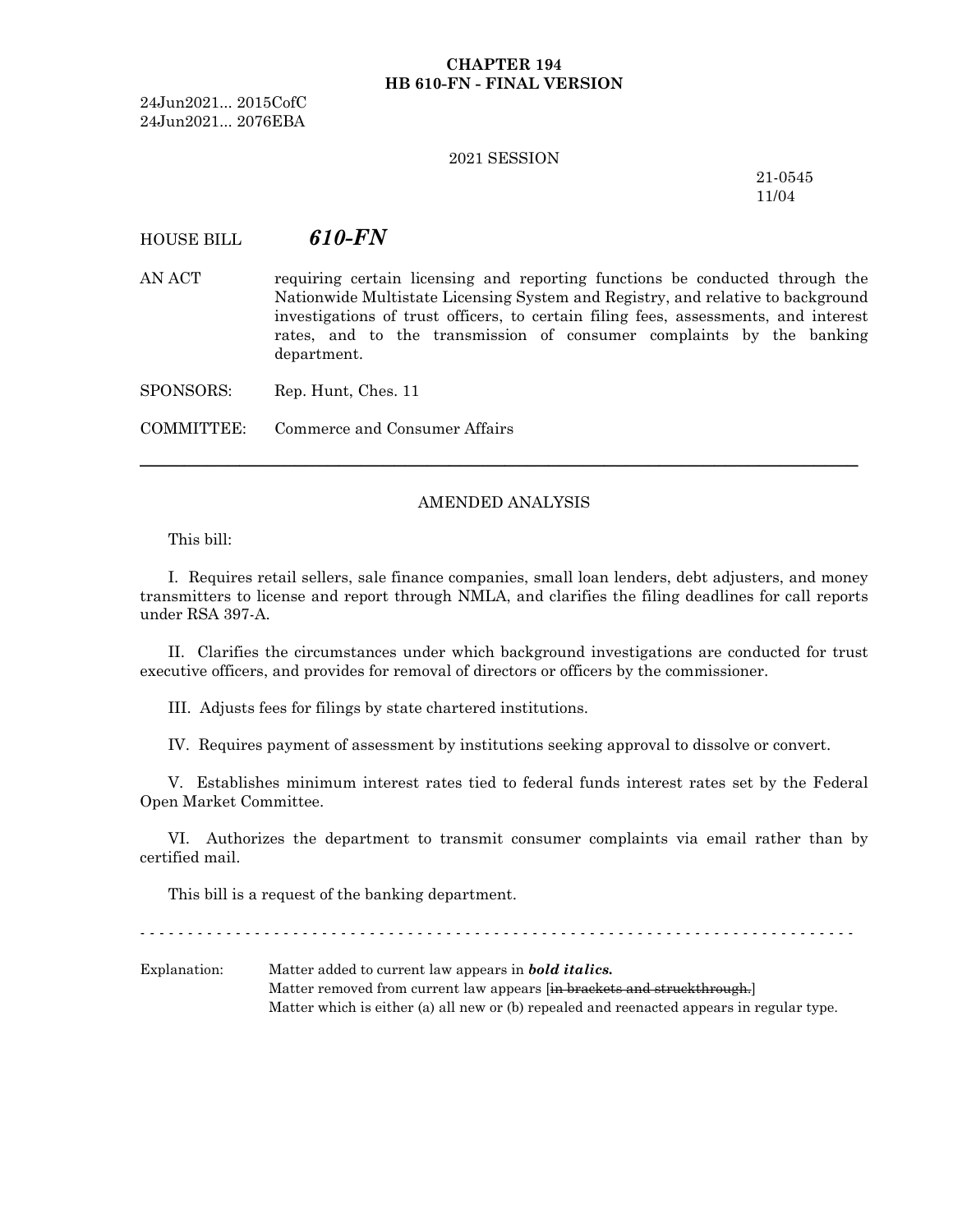## **CHAPTER 194 HB 610-FN - FINAL VERSION**

24Jun2021... 2015CofC 24Jun2021... 2076EBA

#### 2021 SESSION

21-0545 11/04

# HOUSE BILL *610-FN*

AN ACT requiring certain licensing and reporting functions be conducted through the Nationwide Multistate Licensing System and Registry, and relative to background investigations of trust officers, to certain filing fees, assessments, and interest rates, and to the transmission of consumer complaints by the banking department.

SPONSORS: Rep. Hunt, Ches. 11

COMMITTEE: Commerce and Consumer Affairs

### AMENDED ANALYSIS

─────────────────────────────────────────────────────────────────

This bill:

I. Requires retail sellers, sale finance companies, small loan lenders, debt adjusters, and money transmitters to license and report through NMLA, and clarifies the filing deadlines for call reports under RSA 397-A.

II. Clarifies the circumstances under which background investigations are conducted for trust executive officers, and provides for removal of directors or officers by the commissioner.

III. Adjusts fees for filings by state chartered institutions.

IV. Requires payment of assessment by institutions seeking approval to dissolve or convert.

V. Establishes minimum interest rates tied to federal funds interest rates set by the Federal Open Market Committee.

VI. Authorizes the department to transmit consumer complaints via email rather than by certified mail.

This bill is a request of the banking department.

- - - - - - - - - - - - - - - - - - - - - - - - - - - - - - - - - - - - - - - - - - - - - - - - - - - - - - - - - - - - - - - - - - - - - - - - - - -

Explanation: Matter added to current law appears in *bold italics.* Matter removed from current law appears [in brackets and struckthrough.] Matter which is either (a) all new or (b) repealed and reenacted appears in regular type.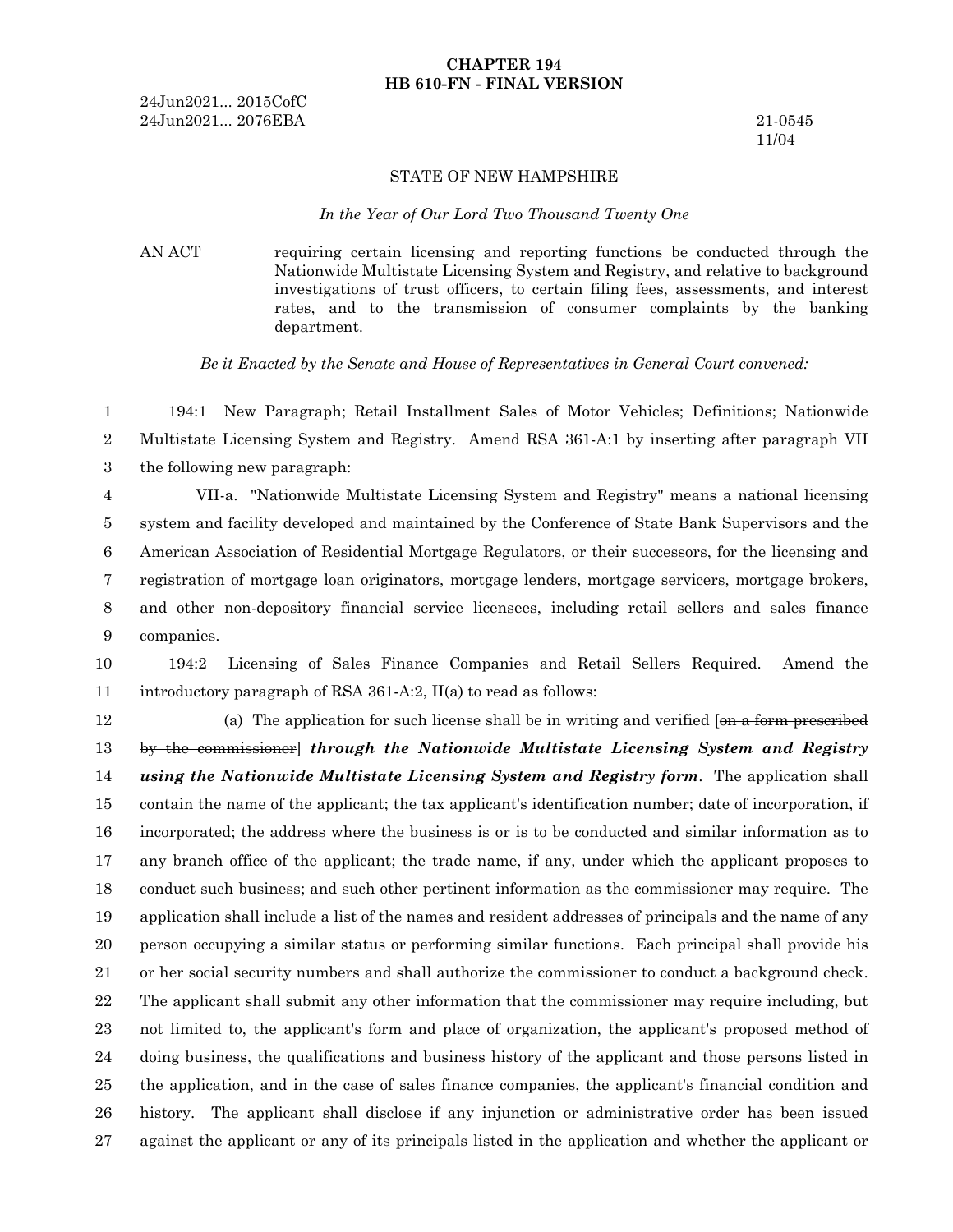### **CHAPTER 194 HB 610-FN - FINAL VERSION**

24Jun2021... 2015CofC 24Jun2021... 2076EBA 21-0545

11/04

#### STATE OF NEW HAMPSHIRE

#### *In the Year of Our Lord Two Thousand Twenty One*

AN ACT requiring certain licensing and reporting functions be conducted through the Nationwide Multistate Licensing System and Registry, and relative to background investigations of trust officers, to certain filing fees, assessments, and interest rates, and to the transmission of consumer complaints by the banking department.

*Be it Enacted by the Senate and House of Representatives in General Court convened:*

194:1 New Paragraph; Retail Installment Sales of Motor Vehicles; Definitions; Nationwide Multistate Licensing System and Registry. Amend RSA 361-A:1 by inserting after paragraph VII the following new paragraph: 1 2 3

VII-a. "Nationwide Multistate Licensing System and Registry" means a national licensing system and facility developed and maintained by the Conference of State Bank Supervisors and the American Association of Residential Mortgage Regulators, or their successors, for the licensing and registration of mortgage loan originators, mortgage lenders, mortgage servicers, mortgage brokers, and other non-depository financial service licensees, including retail sellers and sales finance companies. 4 5 6 7 8 9

194:2 Licensing of Sales Finance Companies and Retail Sellers Required. Amend the introductory paragraph of RSA 361-A:2, II(a) to read as follows: 10 11

(a) The application for such license shall be in writing and verified  $\left[\Theta_{\text{H}}\right]$  a form prescribed by the commissioner] *through the Nationwide Multistate Licensing System and Registry using the Nationwide Multistate Licensing System and Registry form*. The application shall contain the name of the applicant; the tax applicant's identification number; date of incorporation, if incorporated; the address where the business is or is to be conducted and similar information as to any branch office of the applicant; the trade name, if any, under which the applicant proposes to conduct such business; and such other pertinent information as the commissioner may require. The application shall include a list of the names and resident addresses of principals and the name of any person occupying a similar status or performing similar functions. Each principal shall provide his or her social security numbers and shall authorize the commissioner to conduct a background check. The applicant shall submit any other information that the commissioner may require including, but not limited to, the applicant's form and place of organization, the applicant's proposed method of doing business, the qualifications and business history of the applicant and those persons listed in the application, and in the case of sales finance companies, the applicant's financial condition and history. The applicant shall disclose if any injunction or administrative order has been issued against the applicant or any of its principals listed in the application and whether the applicant or 12 13 14 15 16 17 18 19 20 21 22 23 24 25 26 27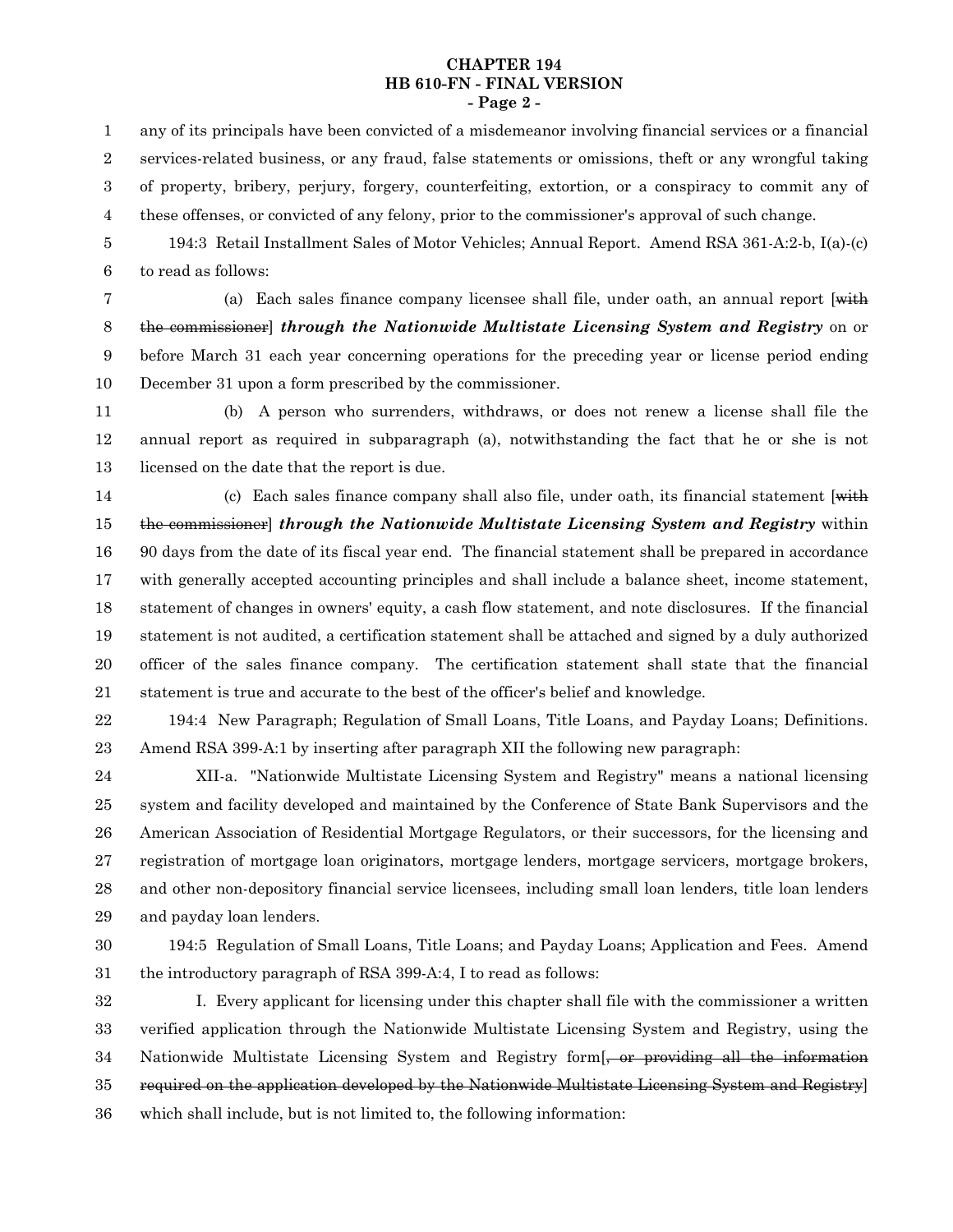#### **CHAPTER 194 HB 610-FN - FINAL VERSION - Page 2 -**

any of its principals have been convicted of a misdemeanor involving financial services or a financial services-related business, or any fraud, false statements or omissions, theft or any wrongful taking of property, bribery, perjury, forgery, counterfeiting, extortion, or a conspiracy to commit any of these offenses, or convicted of any felony, prior to the commissioner's approval of such change. 1 2 3 4

194:3 Retail Installment Sales of Motor Vehicles; Annual Report. Amend RSA 361-A:2-b, I(a)-(c) to read as follows: 5 6

7

(a) Each sales finance company licensee shall file, under oath, an annual report [with the commissioner] *through the Nationwide Multistate Licensing System and Registry* on or before March 31 each year concerning operations for the preceding year or license period ending December 31 upon a form prescribed by the commissioner. 8 9 10

(b) A person who surrenders, withdraws, or does not renew a license shall file the annual report as required in subparagraph (a), notwithstanding the fact that he or she is not licensed on the date that the report is due. 11 12 13

(c) Each sales finance company shall also file, under oath, its financial statement [with the commissioner] *through the Nationwide Multistate Licensing System and Registry* within 90 days from the date of its fiscal year end. The financial statement shall be prepared in accordance with generally accepted accounting principles and shall include a balance sheet, income statement, statement of changes in owners' equity, a cash flow statement, and note disclosures. If the financial statement is not audited, a certification statement shall be attached and signed by a duly authorized officer of the sales finance company. The certification statement shall state that the financial statement is true and accurate to the best of the officer's belief and knowledge. 14 15 16 17 18 19 20 21

194:4 New Paragraph; Regulation of Small Loans, Title Loans, and Payday Loans; Definitions. Amend RSA 399-A:1 by inserting after paragraph XII the following new paragraph: 22 23

XII-a. "Nationwide Multistate Licensing System and Registry" means a national licensing system and facility developed and maintained by the Conference of State Bank Supervisors and the American Association of Residential Mortgage Regulators, or their successors, for the licensing and registration of mortgage loan originators, mortgage lenders, mortgage servicers, mortgage brokers, and other non-depository financial service licensees, including small loan lenders, title loan lenders and payday loan lenders. 24 25 26 27 28 29

30

194:5 Regulation of Small Loans, Title Loans; and Payday Loans; Application and Fees. Amend the introductory paragraph of RSA 399-A:4, I to read as follows: 31

I. Every applicant for licensing under this chapter shall file with the commissioner a written verified application through the Nationwide Multistate Licensing System and Registry, using the Nationwide Multistate Licensing System and Registry form  $\frac{1}{2}$  or providing all the information required on the application developed by the Nationwide Multistate Licensing System and Registry] which shall include, but is not limited to, the following information: 32 33 34 35 36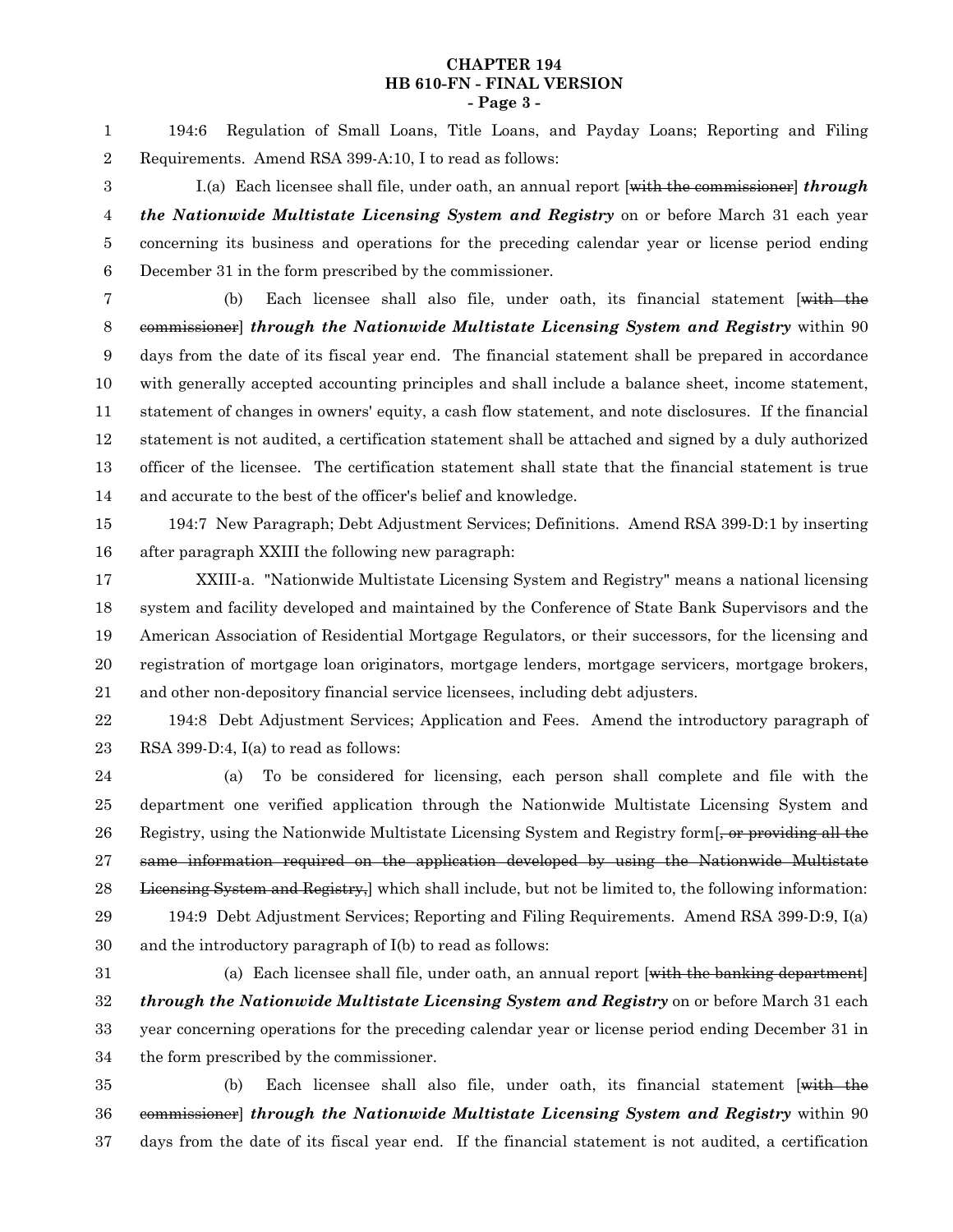### **CHAPTER 194 HB 610-FN - FINAL VERSION - Page 3 -**

194:6 Regulation of Small Loans, Title Loans, and Payday Loans; Reporting and Filing Requirements. Amend RSA 399-A:10, I to read as follows: 1 2

I.(a) Each licensee shall file, under oath, an annual report [with the commissioner] *through the Nationwide Multistate Licensing System and Registry* on or before March 31 each year concerning its business and operations for the preceding calendar year or license period ending December 31 in the form prescribed by the commissioner. 3 4 5 6

(b) Each licensee shall also file, under oath, its financial statement [with the commissioner] *through the Nationwide Multistate Licensing System and Registry* within 90 days from the date of its fiscal year end. The financial statement shall be prepared in accordance with generally accepted accounting principles and shall include a balance sheet, income statement, statement of changes in owners' equity, a cash flow statement, and note disclosures. If the financial statement is not audited, a certification statement shall be attached and signed by a duly authorized officer of the licensee. The certification statement shall state that the financial statement is true and accurate to the best of the officer's belief and knowledge. 7 8 9 10 11 12 13 14

194:7 New Paragraph; Debt Adjustment Services; Definitions. Amend RSA 399-D:1 by inserting after paragraph XXIII the following new paragraph: 15 16

XXIII-a. "Nationwide Multistate Licensing System and Registry" means a national licensing system and facility developed and maintained by the Conference of State Bank Supervisors and the American Association of Residential Mortgage Regulators, or their successors, for the licensing and registration of mortgage loan originators, mortgage lenders, mortgage servicers, mortgage brokers, and other non-depository financial service licensees, including debt adjusters. 17 18 19 20 21

194:8 Debt Adjustment Services; Application and Fees. Amend the introductory paragraph of RSA 399-D:4, I(a) to read as follows: 22 23

(a) To be considered for licensing, each person shall complete and file with the department one verified application through the Nationwide Multistate Licensing System and Registry, using the Nationwide Multistate Licensing System and Registry form. same information required on the application developed by using the Nationwide Multistate Licensing System and Registry, which shall include, but not be limited to, the following information: 194:9 Debt Adjustment Services; Reporting and Filing Requirements. Amend RSA 399-D:9, I(a) and the introductory paragraph of I(b) to read as follows: 24 25 26 27 28 29 30

(a) Each licensee shall file, under oath, an annual report [with the banking department] *through the Nationwide Multistate Licensing System and Registry* on or before March 31 each year concerning operations for the preceding calendar year or license period ending December 31 in the form prescribed by the commissioner. 31 32 33 34

(b) Each licensee shall also file, under oath, its financial statement [with the commissioner] *through the Nationwide Multistate Licensing System and Registry* within 90 days from the date of its fiscal year end. If the financial statement is not audited, a certification 35 36 37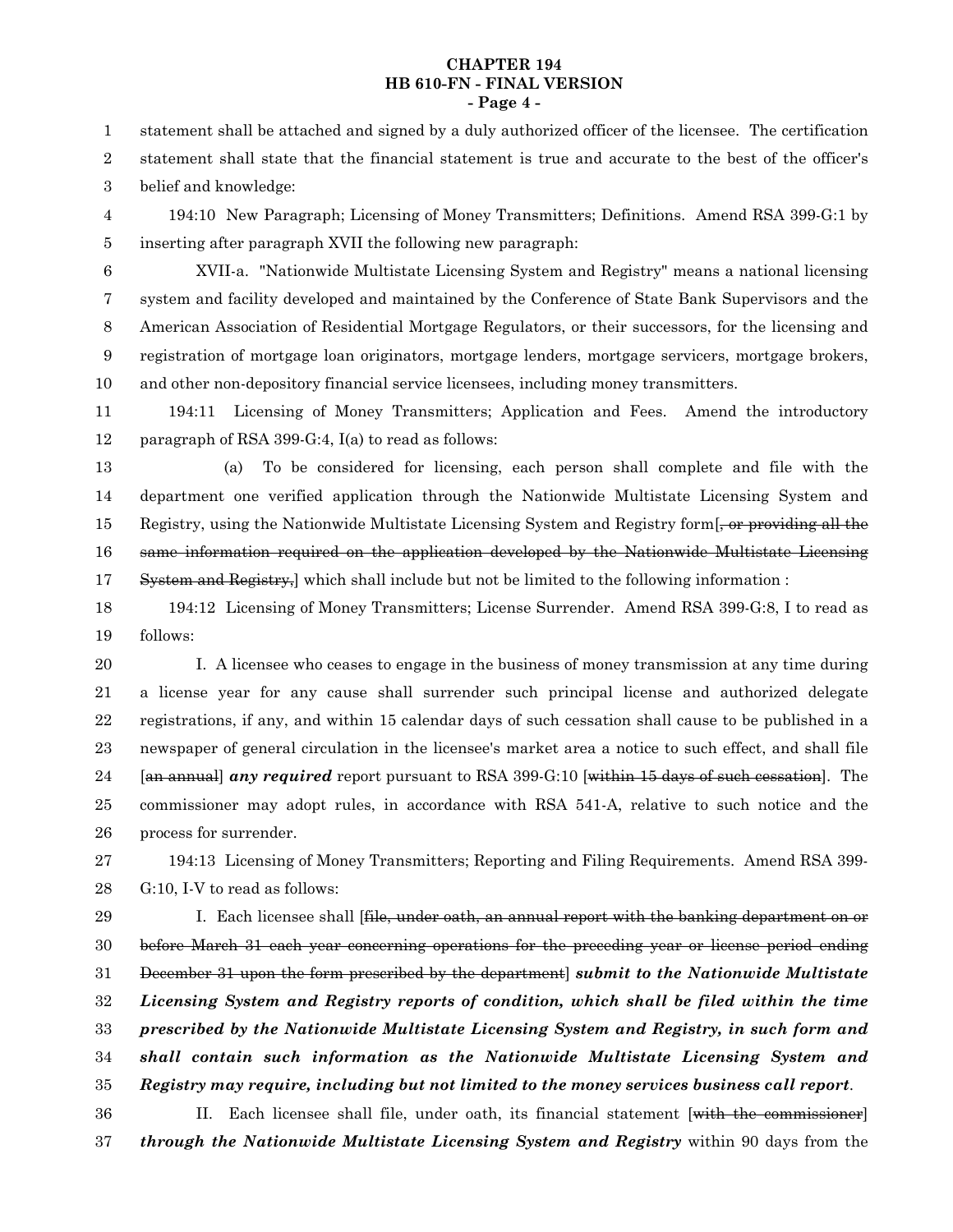#### **CHAPTER 194 HB 610-FN - FINAL VERSION - Page 4 -**

statement shall be attached and signed by a duly authorized officer of the licensee. The certification statement shall state that the financial statement is true and accurate to the best of the officer's belief and knowledge: 1 2 3

194:10 New Paragraph; Licensing of Money Transmitters; Definitions. Amend RSA 399-G:1 by inserting after paragraph XVII the following new paragraph: 4 5

6

XVII-a. "Nationwide Multistate Licensing System and Registry" means a national licensing system and facility developed and maintained by the Conference of State Bank Supervisors and the American Association of Residential Mortgage Regulators, or their successors, for the licensing and registration of mortgage loan originators, mortgage lenders, mortgage servicers, mortgage brokers, and other non-depository financial service licensees, including money transmitters. 7 8 9 10

194:11 Licensing of Money Transmitters; Application and Fees. Amend the introductory paragraph of RSA 399-G:4, I(a) to read as follows: 11 12

(a) To be considered for licensing, each person shall complete and file with the department one verified application through the Nationwide Multistate Licensing System and Registry, using the Nationwide Multistate Licensing System and Registry form, or providing all the same information required on the application developed by the Nationwide Multistate Licensing System and Registry, which shall include but not be limited to the following information : 13 14 15 16 17

194:12 Licensing of Money Transmitters; License Surrender. Amend RSA 399-G:8, I to read as follows: 18 19

I. A licensee who ceases to engage in the business of money transmission at any time during a license year for any cause shall surrender such principal license and authorized delegate registrations, if any, and within 15 calendar days of such cessation shall cause to be published in a newspaper of general circulation in the licensee's market area a notice to such effect, and shall file [an annual] *any required* report pursuant to RSA 399-G:10 [within 15 days of such cessation]. The commissioner may adopt rules, in accordance with RSA 541-A, relative to such notice and the process for surrender. 20 21 22 23 24 25 26

194:13 Licensing of Money Transmitters; Reporting and Filing Requirements. Amend RSA 399- G:10, I-V to read as follows: 27 28

I. Each licensee shall [<del>file, under oath, an annual report with the banking department on or</del> before March 31 each year concerning operations for the preceding year or license period ending December 31 upon the form prescribed by the department] *submit to the Nationwide Multistate Licensing System and Registry reports of condition, which shall be filed within the time prescribed by the Nationwide Multistate Licensing System and Registry, in such form and shall contain such information as the Nationwide Multistate Licensing System and Registry may require, including but not limited to the money services business call report*. 29 30 31 32 33 34 35

II. Each licensee shall file, under oath, its financial statement [with the commissioner] *through the Nationwide Multistate Licensing System and Registry* within 90 days from the 36 37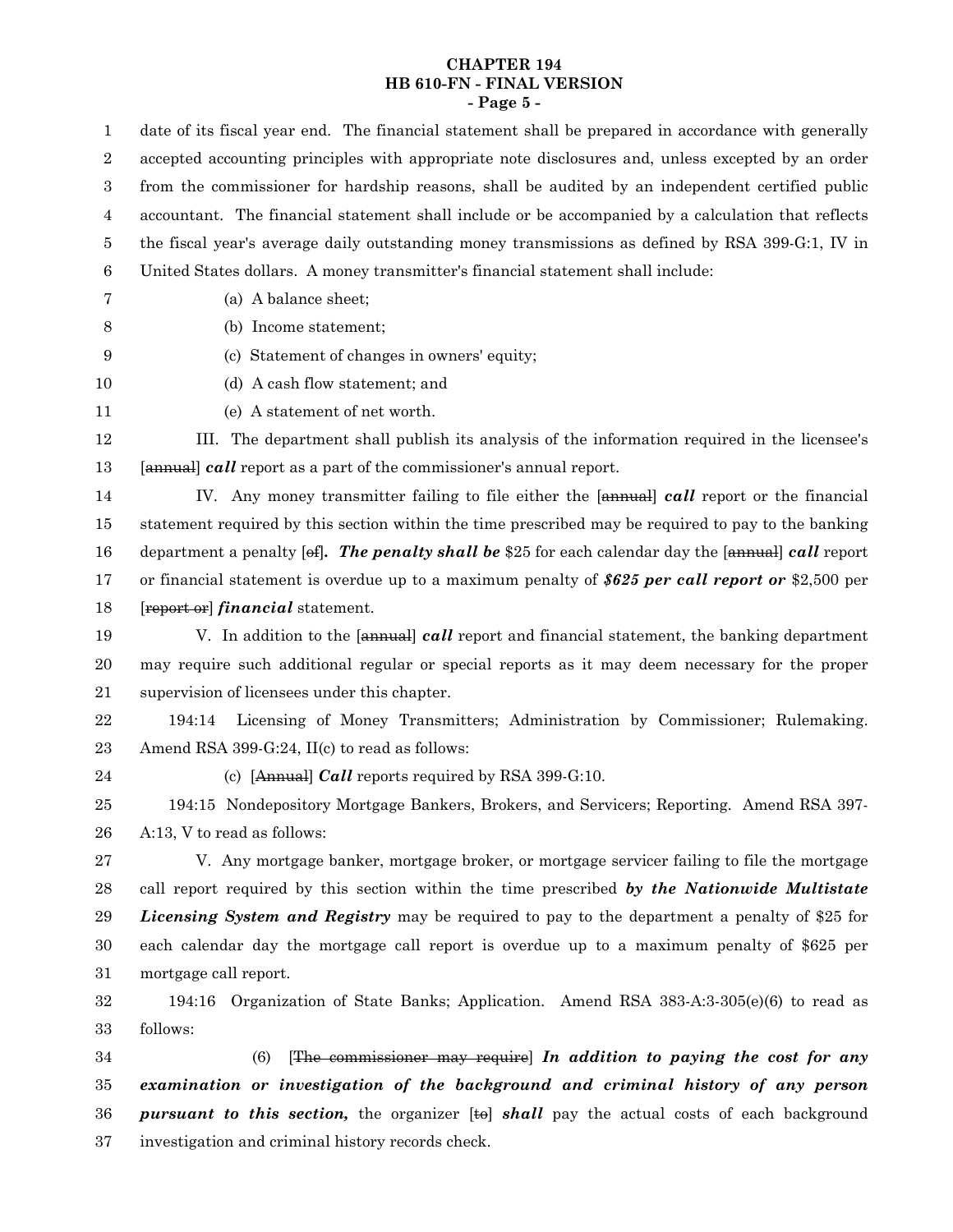# **CHAPTER 194 HB 610-FN - FINAL VERSION - Page 5 -**

| 1                | date of its fiscal year end. The financial statement shall be prepared in accordance with generally |
|------------------|-----------------------------------------------------------------------------------------------------|
| $\boldsymbol{2}$ | accepted accounting principles with appropriate note disclosures and, unless excepted by an order   |
| $\boldsymbol{3}$ | from the commissioner for hardship reasons, shall be audited by an independent certified public     |
| 4                | accountant. The financial statement shall include or be accompanied by a calculation that reflects  |
| 5                | the fiscal year's average daily outstanding money transmissions as defined by RSA 399-G:1, IV in    |
| $6\phantom{.}6$  | United States dollars. A money transmitter's financial statement shall include:                     |
| 7                | (a) A balance sheet;                                                                                |
| 8                | (b) Income statement;                                                                               |
| 9                | (c) Statement of changes in owners' equity;                                                         |
| 10               | (d) A cash flow statement; and                                                                      |
| 11               | (e) A statement of net worth.                                                                       |
| 12               | III. The department shall publish its analysis of the information required in the licensee's        |
| 13               | [annual] call report as a part of the commissioner's annual report.                                 |
| 14               | IV. Any money transmitter failing to file either the [annual] call report or the financial          |
| 15               | statement required by this section within the time prescribed may be required to pay to the banking |
| 16               | department a penalty [of]. The penalty shall be \$25 for each calendar day the [annual] call report |
| 17               | or financial statement is overdue up to a maximum penalty of \$625 per call report or \$2,500 per   |
| 18               | [report or] <i>financial</i> statement.                                                             |
| 19               | V. In addition to the [annual] call report and financial statement, the banking department          |
| 20               | may require such additional regular or special reports as it may deem necessary for the proper      |
| 21               | supervision of licensees under this chapter.                                                        |
| $22\,$           | Licensing of Money Transmitters; Administration by Commissioner; Rulemaking.<br>194:14              |
| 23               | Amend RSA 399-G:24, II(c) to read as follows:                                                       |
| 24               | (c) [Annual] <i>Call</i> reports required by RSA 399-G:10.                                          |
| 25               | 194:15 Nondepository Mortgage Bankers, Brokers, and Servicers; Reporting. Amend RSA 397-            |
| 26               | A:13, V to read as follows:                                                                         |
| 27               | V. Any mortgage banker, mortgage broker, or mortgage servicer failing to file the mortgage          |
| 28               | call report required by this section within the time prescribed by the Nationwide Multistate        |
| 29               | <i>Licensing System and Registry</i> may be required to pay to the department a penalty of \$25 for |
| 30               | each calendar day the mortgage call report is overdue up to a maximum penalty of \$625 per          |
| 31               | mortgage call report.                                                                               |
| 32               | 194:16 Organization of State Banks; Application. Amend RSA 383-A:3-305(e)(6) to read as             |
| 33               | follows:                                                                                            |
| 34               | $[The$ commissioner may require In addition to paying the cost for any<br>(6)                       |
| 35               | examination or investigation of the background and criminal history of any person                   |
| 36               | <b>pursuant to this section,</b> the organizer [to] shall pay the actual costs of each background   |
| 37               | investigation and criminal history records check.                                                   |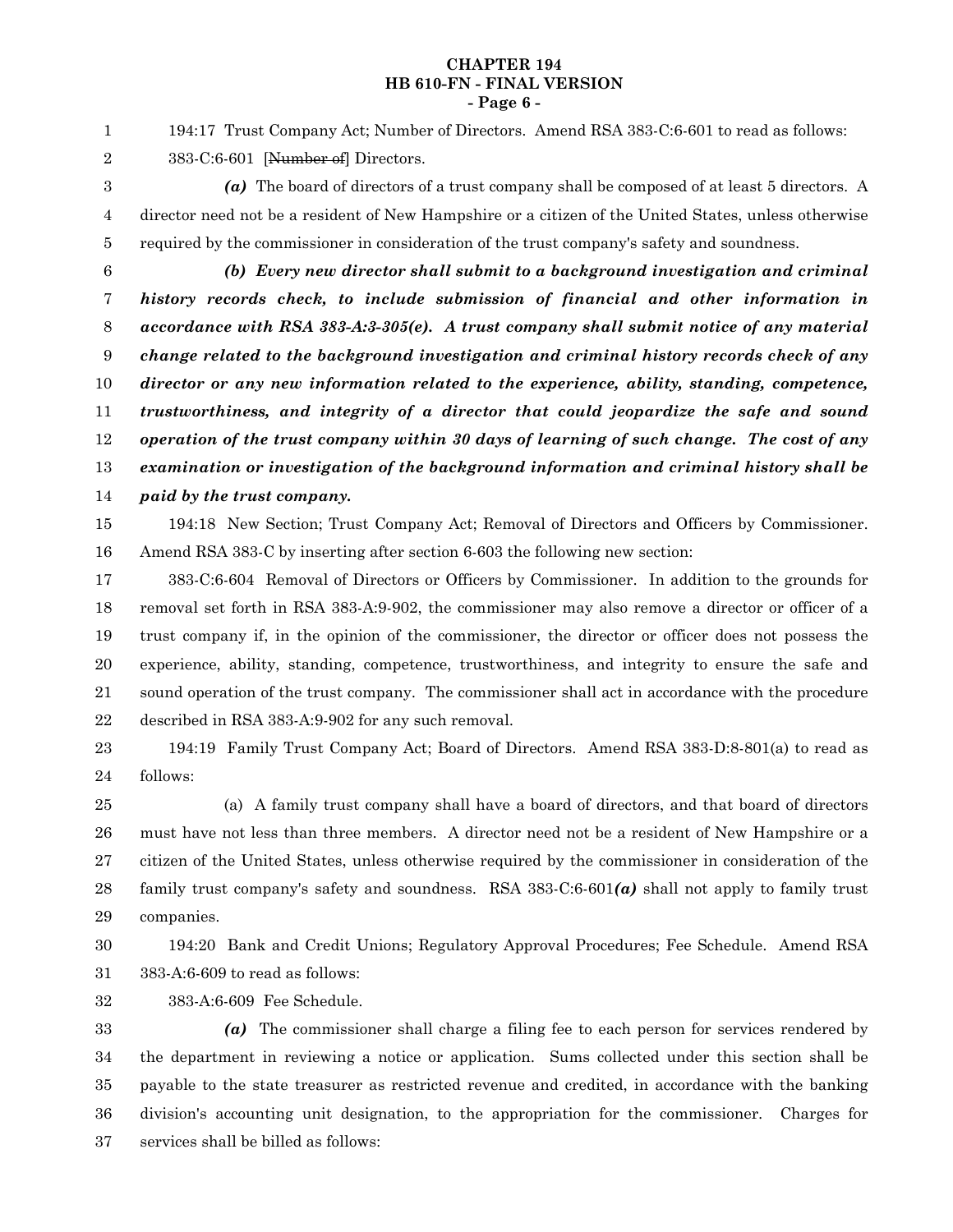#### **CHAPTER 194 HB 610-FN - FINAL VERSION - Page 6 -**

194:17 Trust Company Act; Number of Directors. Amend RSA 383-C:6-601 to read as follows: 383-C:6-601 [Number of] Directors. 1 2

- *(a)* The board of directors of a trust company shall be composed of at least 5 directors. A director need not be a resident of New Hampshire or a citizen of the United States, unless otherwise required by the commissioner in consideration of the trust company's safety and soundness. 3 4 5
- 6

*(b) Every new director shall submit to a background investigation and criminal history records check, to include submission of financial and other information in accordance with RSA 383-A:3-305(e). A trust company shall submit notice of any material change related to the background investigation and criminal history records check of any director or any new information related to the experience, ability, standing, competence, trustworthiness, and integrity of a director that could jeopardize the safe and sound operation of the trust company within 30 days of learning of such change. The cost of any examination or investigation of the background information and criminal history shall be paid by the trust company.* 7 8 9 10 11 12 13 14

194:18 New Section; Trust Company Act; Removal of Directors and Officers by Commissioner. Amend RSA 383-C by inserting after section 6-603 the following new section: 15 16

383-C:6-604 Removal of Directors or Officers by Commissioner. In addition to the grounds for removal set forth in RSA 383-A:9-902, the commissioner may also remove a director or officer of a trust company if, in the opinion of the commissioner, the director or officer does not possess the experience, ability, standing, competence, trustworthiness, and integrity to ensure the safe and sound operation of the trust company. The commissioner shall act in accordance with the procedure described in RSA 383-A:9-902 for any such removal. 17 18 19 20 21 22

194:19 Family Trust Company Act; Board of Directors. Amend RSA 383-D:8-801(a) to read as follows: 23 24

(a) A family trust company shall have a board of directors, and that board of directors must have not less than three members. A director need not be a resident of New Hampshire or a citizen of the United States, unless otherwise required by the commissioner in consideration of the family trust company's safety and soundness. RSA 383-C:6-601*(a)* shall not apply to family trust companies. 25 26 27 28 29

194:20 Bank and Credit Unions; Regulatory Approval Procedures; Fee Schedule. Amend RSA

30 31

383-A:6-609 to read as follows:

383-A:6-609 Fee Schedule. 32

*(a)* The commissioner shall charge a filing fee to each person for services rendered by the department in reviewing a notice or application. Sums collected under this section shall be payable to the state treasurer as restricted revenue and credited, in accordance with the banking division's accounting unit designation, to the appropriation for the commissioner. Charges for services shall be billed as follows: 33 34 35 36 37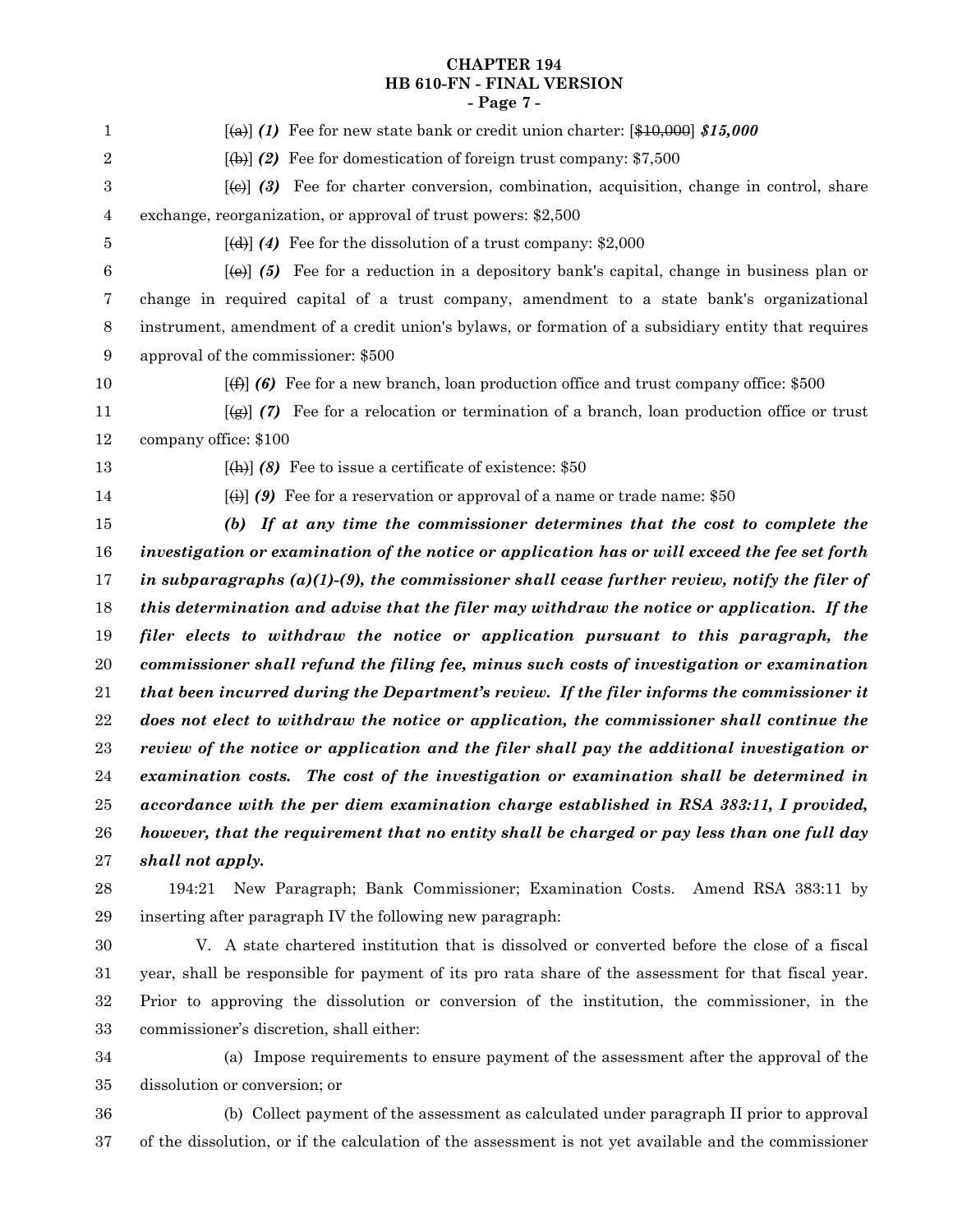## **CHAPTER 194 HB 610-FN - FINAL VERSION - Page 7 -**

| $\mathbf{1}$   | $\left[\frac{1}{2}\right]$ (1) Fee for new state bank or credit union charter: $\left[\frac{10,000}{15,000}\right]$ \$15,000 |
|----------------|------------------------------------------------------------------------------------------------------------------------------|
| $\overline{2}$ | $[\text{(+)}]$ (2) Fee for domestication of foreign trust company: \$7,500                                                   |
| $\,3$          | $[\omega]$ (3) Fee for charter conversion, combination, acquisition, change in control, share                                |
| 4              | exchange, reorganization, or approval of trust powers: \$2,500                                                               |
| 5              | $[\text{4}]$ (4) Fee for the dissolution of a trust company: \$2,000                                                         |
| 6              | $[\omega]$ (5) Fee for a reduction in a depository bank's capital, change in business plan or                                |
| 7              | change in required capital of a trust company, amendment to a state bank's organizational                                    |
| $\,8\,$        | instrument, amendment of a credit union's bylaws, or formation of a subsidiary entity that requires                          |
| 9              | approval of the commissioner: \$500                                                                                          |
| 10             | $\left[\left(\frac{4}{5}\right)\right]$ (6) Fee for a new branch, loan production office and trust company office: \$500     |
| 11             | $\overline{(\mathbf{g})}$ (7) Fee for a relocation or termination of a branch, loan production office or trust               |
| 12             | company office: \$100                                                                                                        |
| 13             | $[\text{th}]$ (8) Fee to issue a certificate of existence: \$50                                                              |
| 14             | $\left[\left(\frac{1}{2}\right)\right]$ (9) Fee for a reservation or approval of a name or trade name: \$50                  |
| 15             | (b) If at any time the commissioner determines that the cost to complete the                                                 |
| 16             | investigation or examination of the notice or application has or will exceed the fee set forth                               |
| 17             | in subparagraphs $(a)(1)-(9)$ , the commissioner shall cease further review, notify the filer of                             |
| 18             | this determination and advise that the filer may withdraw the notice or application. If the                                  |
| 19             | filer elects to withdraw the notice or application pursuant to this paragraph, the                                           |
| 20             | commissioner shall refund the filing fee, minus such costs of investigation or examination                                   |
| 21             | that been incurred during the Department's review. If the filer informs the commissioner it                                  |
| 22             | does not elect to withdraw the notice or application, the commissioner shall continue the                                    |
| $\bf 23$       | review of the notice or application and the filer shall pay the additional investigation or                                  |
| $\sqrt{24}$    | examination costs. The cost of the investigation or examination shall be determined in                                       |
| 25             | accordance with the per diem examination charge established in RSA 383:11, I provided,                                       |
| 26             | however, that the requirement that no entity shall be charged or pay less than one full day                                  |
| $\sqrt{27}$    | shall not apply.                                                                                                             |
| 28             | 194:21 New Paragraph; Bank Commissioner; Examination Costs. Amend RSA 383:11 by                                              |
| 29             | inserting after paragraph IV the following new paragraph:                                                                    |

V. A state chartered institution that is dissolved or converted before the close of a fiscal year, shall be responsible for payment of its pro rata share of the assessment for that fiscal year. Prior to approving the dissolution or conversion of the institution, the commissioner, in the commissioner's discretion, shall either: 30 31 32 33

- (a) Impose requirements to ensure payment of the assessment after the approval of the dissolution or conversion; or 34 35
- (b) Collect payment of the assessment as calculated under paragraph II prior to approval of the dissolution, or if the calculation of the assessment is not yet available and the commissioner 36 37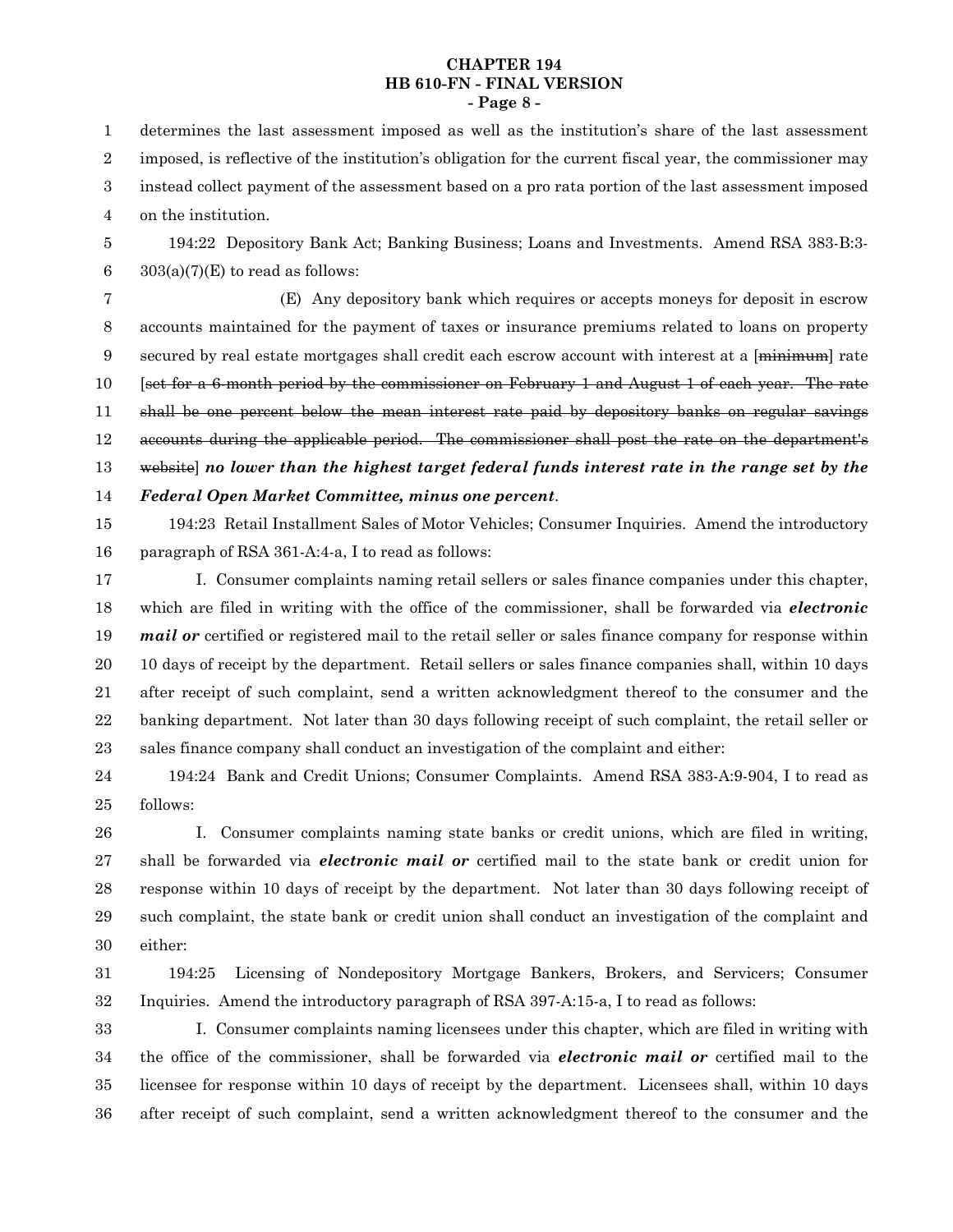#### **CHAPTER 194 HB 610-FN - FINAL VERSION - Page 8 -**

determines the last assessment imposed as well as the institution's share of the last assessment imposed, is reflective of the institution's obligation for the current fiscal year, the commissioner may instead collect payment of the assessment based on a pro rata portion of the last assessment imposed on the institution. 1 2 3 4

194:22 Depository Bank Act; Banking Business; Loans and Investments. Amend RSA 383-B:3-  $303(a)(7)(E)$  to read as follows: 5 6

(E) Any depository bank which requires or accepts moneys for deposit in escrow accounts maintained for the payment of taxes or insurance premiums related to loans on property secured by real estate mortgages shall credit each escrow account with interest at a [<del>minimum</del>] rate [set for a 6-month period by the commissioner on February 1 and August 1 of each year. The rate shall be one percent below the mean interest rate paid by depository banks on regular savings accounts during the applicable period. The commissioner shall post the rate on the department's website] *no lower than the highest target federal funds interest rate in the range set by the Federal Open Market Committee, minus one percent*. 7 8 9 10 11 12 13 14

194:23 Retail Installment Sales of Motor Vehicles; Consumer Inquiries. Amend the introductory paragraph of RSA 361-A:4-a, I to read as follows: 15 16

I. Consumer complaints naming retail sellers or sales finance companies under this chapter, which are filed in writing with the office of the commissioner, shall be forwarded via *electronic mail or* certified or registered mail to the retail seller or sales finance company for response within 10 days of receipt by the department. Retail sellers or sales finance companies shall, within 10 days after receipt of such complaint, send a written acknowledgment thereof to the consumer and the banking department. Not later than 30 days following receipt of such complaint, the retail seller or sales finance company shall conduct an investigation of the complaint and either: 17 18 19 20 21 22 23

194:24 Bank and Credit Unions; Consumer Complaints. Amend RSA 383-A:9-904, I to read as follows: 24 25

I. Consumer complaints naming state banks or credit unions, which are filed in writing, shall be forwarded via *electronic mail or* certified mail to the state bank or credit union for response within 10 days of receipt by the department. Not later than 30 days following receipt of such complaint, the state bank or credit union shall conduct an investigation of the complaint and either: 26 27 28 29 30

194:25 Licensing of Nondepository Mortgage Bankers, Brokers, and Servicers; Consumer Inquiries. Amend the introductory paragraph of RSA 397-A:15-a, I to read as follows: 31 32

I. Consumer complaints naming licensees under this chapter, which are filed in writing with the office of the commissioner, shall be forwarded via *electronic mail or* certified mail to the licensee for response within 10 days of receipt by the department. Licensees shall, within 10 days after receipt of such complaint, send a written acknowledgment thereof to the consumer and the 33 34 35 36